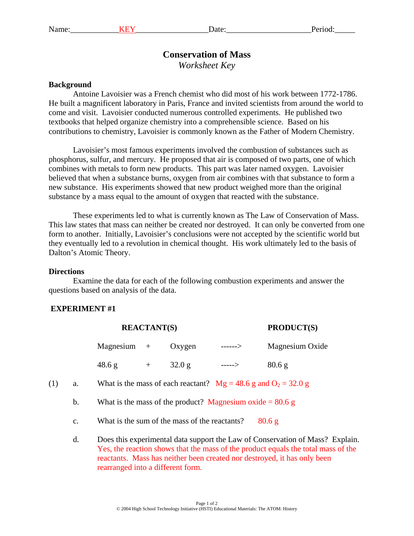# **Conservation of Mass**

*Worksheet Key* 

#### **Background**

Antoine Lavoisier was a French chemist who did most of his work between 1772-1786. He built a magnificent laboratory in Paris, France and invited scientists from around the world to come and visit. Lavoisier conducted numerous controlled experiments. He published two textbooks that helped organize chemistry into a comprehensible science. Based on his contributions to chemistry, Lavoisier is commonly known as the Father of Modern Chemistry.

Lavoisier's most famous experiments involved the combustion of substances such as phosphorus, sulfur, and mercury. He proposed that air is composed of two parts, one of which combines with metals to form new products. This part was later named oxygen. Lavoisier believed that when a substance burns, oxygen from air combines with that substance to form a new substance. His experiments showed that new product weighed more than the original substance by a mass equal to the amount of oxygen that reacted with the substance.

These experiments led to what is currently known as The Law of Conservation of Mass. This law states that mass can neither be created nor destroyed. It can only be converted from one form to another. Initially, Lavoisier's conclusions were not accepted by the scientific world but they eventually led to a revolution in chemical thought. His work ultimately led to the basis of Dalton's Atomic Theory.

#### **Directions**

Examine the data for each of the following combustion experiments and answer the questions based on analysis of the data.

## **EXPERIMENT #1**

|     |    | <b>REACTANT(S)</b>                                                                                                                                                 |     |        |         | <b>PRODUCT(S)</b> |  |  |
|-----|----|--------------------------------------------------------------------------------------------------------------------------------------------------------------------|-----|--------|---------|-------------------|--|--|
|     |    | Magnesium                                                                                                                                                          | $+$ | Oxygen | ------> | Magnesium Oxide   |  |  |
|     |    | 48.6 g                                                                                                                                                             | $+$ | 32.0 g | $--->$  | 80.6 <sub>g</sub> |  |  |
| (1) | a. | What is the mass of each reactant? $Mg = 48.6$ g and $O_2 = 32.0$ g                                                                                                |     |        |         |                   |  |  |
|     | b. | What is the mass of the product? Magnesium oxide $= 80.6$ g                                                                                                        |     |        |         |                   |  |  |
|     | c. | What is the sum of the mass of the reactants?<br>80.6 <sub>g</sub>                                                                                                 |     |        |         |                   |  |  |
|     | d. | Does this experimental data support the Law of Conservation of Mass? Explain.<br>Yes, the reaction shows that the mass of the product equals the total mass of the |     |        |         |                   |  |  |